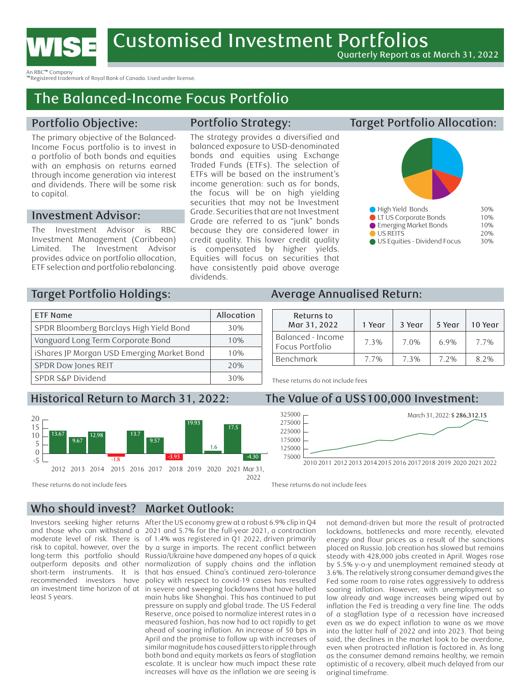

An RBC™ Company

™Registered trademark of Royal Bank of Canada. Used under license.

# The Balanced-Income Focus Portfolio

## Portfolio Objective:

The primary objective of the Balanced-Income Focus portfolio is to invest in a portfolio of both bonds and equities with an emphasis on returns earned through income generation via interest and dividends. There will be some risk to capital.

#### Investment Advisor:

The Investment Advisor is RBC Investment Management (Caribbean) Limited. The Investment Advisor provides advice on portfolio allocation, ETF selection and portfolio rebalancing.

### Portfolio Strategy:

The strategy provides a diversified and balanced exposure to USD-denominated bonds and equities using Exchange Traded Funds (ETFs). The selection of ETFs will be based on the instrument's income generation: such as for bonds, the focus will be on high yielding securities that may not be Investment Grade. Securities that are not Investment Grade are referred to as "junk" bonds because they are considered lower in credit quality. This lower credit quality is compensated by higher yields. Equities will focus on securities that have consistently paid above average dividends.

## Target Portfolio Allocation:



# Target Portfolio Holdings:

| <b>ETF Name</b>                            | Allocation |
|--------------------------------------------|------------|
| SPDR Bloomberg Barclays High Yield Bond    | 30%        |
| Vanguard Long Term Corporate Bond          | 10%        |
| iShares JP Morgan USD Emerging Market Bond | 10%        |
| SPDR Dow Jones REIT                        | 20%        |
| SPDR S&P Dividend                          | 30%        |

# orical Return to March 31, 2022: Th



#### $1250$ Average Annualised Return:

| Returns to<br>Mar 31, 2022           | i Year | 3 Year | 5 Year | 10 Year |
|--------------------------------------|--------|--------|--------|---------|
| Balanced - Income<br>Focus Portfolio | 7.3%   | 7.0%   | 6.9%   | 7.7%    |
| Benchmark                            | 7.7%   | 7.3%   | 7.2%   | 8.2%    |

 $\overline{a}$ 5 Emerging Market Bonds 10% These returns do not include fees

# Historical Return to March 31, 2022: The Value of a US\$100,000 Investment:



9.57

-3.93

-4.30

125000

9.67

#### Who should invest? Market Outlook:

Investors seeking higher returns After the US economy grew at a robust 6.9% clip in Q4 moderate level of risk. There is risk to capital, however, over the long-term this portfolio should least 5 years.

and those who can withstand a 2021 and 5.7% for the full-year 2021, a contraction outperform deposits and other normalization of supply chains and the inflation short-term instruments. It is that has ensued. China's continued zero-tolerance recommended investors have policy with respect to covid-19 cases has resulted an investment time horizon of at in severe and sweeping lockdowns that have halted of 1.4% was registered in Q1 2022, driven primarily by a surge in imports. The recent conflict between Russia/Ukraine have dampened any hopes of a quick main hubs like Shanghai. This has continued to put pressure on supply and global trade. The US Federal Reserve, once poised to normalize interest rates in a measured fashion, has now had to act rapidly to get ahead of soaring inflation. An increase of 50 bps in April and the promise to follow up with increases of similar magnitude has caused jitters to ripple through both bond and equity markets as fears of stagflation escalate. It is unclear how much impact these rate increases will have as the inflation we are seeing is

as the consumer demand remains healthy, we remain -1.8 not demand-driven but more the result of protracted 2012 2013 2014 2015 2016 2017 2018 2019 2020 2021 Mar 31, lockdowns, bottlenecks and more recently, elevated encercion condomis, bottleneess and more recently, elevated<br>primarily energy and flour prices as a result of the sanctions placed on Russia. Job creation has slowed but remains steady with 428,000 jobs created in April. Wages rose by 5.5% y-o-y and unemployment remained steady at 3.6%. The relatively strong consumer demand gives the Fed some room to raise rates aggressively to address soaring inflation. However, with unemployment so low already and wage increases being wiped out by inflation the Fed is treading a very fine line. The odds of a stagflation type of a recession have increased even as we do expect inflation to wane as we move into the latter half of 2022 and into 2023. That being said, the declines in the market look to be overdone, even when protracted inflation is factored in. As long optimistic of a recovery, albeit much delayed from our original timeframe.

These returns do not include fees

<sup>20</sup> These returns do not include fees